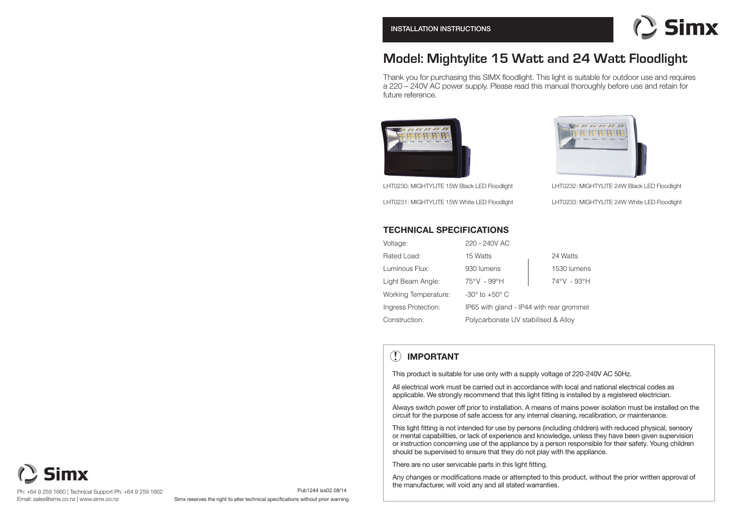

# **Model: Mightylite 15 Watt and 24 Watt Floodlight**

Thank you for purchasing this SIMX floodlight. This light is suitable for outdoor use and requires a 220 – 240V AC power supply. Please read this manual thoroughly before use and retain for future reference.



LHT0230: MIGHTYLITE 15W Black LED Floodlight LHT0231: MIGHTYLITE 15W White LED Floodlight



LHT0232: MIGHTYLITE 24W Black LED Floodlight LHT0233: MIGHTYLITE 24W White LED Floodlight

## **TECHNICAL SPECIFICATIONS**

| Voltage:             | 220 - 240V AC                            |             |
|----------------------|------------------------------------------|-------------|
| Rated Load:          | 15 Watts                                 | 24 Watts    |
| Luminous Flux:       | 930 lumens                               | 1530 lumens |
| Light Beam Angle:    | 75°V - 99°H                              | 74°V - 93°H |
| Working Temperature: | $-30^\circ$ to $+50^\circ$ C             |             |
| Ingress Protection:  | IP65 with gland - IP44 with rear grommet |             |
| Construction:        | Polycarbonate UV stabilised & Alloy      |             |

## **! IMPORTANT**

This product is suitable for use only with a supply voltage of 220-240V AC 50Hz.

All electrical work must be carried out in accordance with local and national electrical codes as applicable. We strongly recommend that this light fitting is installed by a registered electrician.

Always switch power off prior to installation. A means of mains power isolation must be installed on the circuit for the purpose of safe access for any internal cleaning, recalibration, or maintenance.

This light fitting is not intended for use by persons (including children) with reduced physical, sensory or mental capabilities, or lack of experience and knowledge, unless they have been given supervision or instruction concerning use of the appliance by a person responsible for their safety. Young children should be supervised to ensure that they do not play with the appliance.

There are no user servicable parts in this light fitting.

Any changes or modifications made or attempted to this product, without the prior written approval of the manufacturer, will void any and all stated warranties.

mx

Simx reserves the right to alter technical specifications without prior warning

Pub1244 iss02 08/14